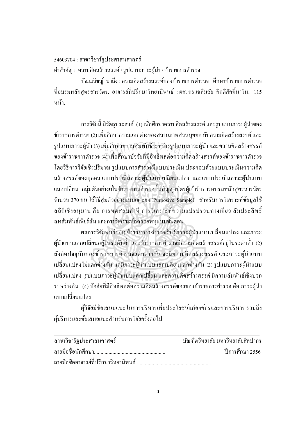## $54603704$ : สาขาวิชารัฐประศาสนศาสตร์

คำสำคัญ : ความคิดสร้างสรรค์ / รูปแบบภาวะผู้นำ / ข้าราชการตำรวจ

้ ปัณณวิชพ์ นาถึง : ความคิดสร้างสรรค์ของข้าราชการตำรวจ : ศึกษาข้าราชการตำรวจ ู้ที่อบรมหลักสูตรสารวัตร. อาจารย์ที่ปรึกษาวิทยานิพนธ์ : ผศ. คร.เฉลิมชัย กิตติศักดิ์นาวิน. 115 หบ้า

การวิจัยนี้ มีวัตถุประสงค์ (1) เพื่อศึกษาความคิดสร้างสรรค์ และรูปแบบภาวะผู้นำของ ข้าราชการตำรวจ (2) เพื่อศึกษาความแตกต่างของสถานภาพส่วนบุคคล กับความคิดสร้างสรรค์ และ รูปแบบภาวะผู้นำ (3) เพื่อศึกษาความสัมพันธ์ระหว่างรูปแบบภาวะผู้นำ และความคิดสร้างสรรค์<br>ของข้าราชการตำรวจ (4) เพื่อศึกษาปัจจัยที่มีอิทธิพลต่อความคิดสร้างสรรค์ของข้าราชการตำรวจ รูปแบบภาวะผู้นำ (3) เพื่อศึกษาความสัมพันธ์ระหว่างรูปแบบภาวะผู้นำ และความคิดสร้างสรรค์<br>ของข้าราชการตำรวจ (4) เพื่อศึกษาปัจจัยที่มีอิทธิพลต่อความคิดสร้างสรรค์ของข้าราชการตำรวจ โดยวิธีการวิจัยเชิงปริมาณ รูปแบบการสำรวจมีแบบประเมิน ประกอบด้วยแบบประเมินความคิด ่ สร้างสรรค์ของบุคคล แบบประเมินภาวะผู้นำแบบเปลี่ยนแปลง และแบบประเมินภาวะผู้นำแบบ แลกเปลี่ยน กลุ่มตัวอย่างเป็นข้าราชการตำรวจชั้นสัญญาบัตรผู้เข้ารับการอบรมหลักสูตรสารวัตร ึ จำนวน 370 คน ใช้วิธีสุ่มตัวอย่างแบบเจาะจง (Purposive Sample) สำหรับการวิเคราะห์ข้อมูลใช้ ิสถิติเชิงอนมาน คือ การทดสอบค่าที่ การวิเคราะห์ความแปรปรวนทางเดียว สัมประสิทธิ์ สหสัมพันธ์เพียร์สัน และการวิเคราะห์ถดถอยพหุแบบขั้นตอน

หลการวิจัยพบว่า (1) ข้าราชการตำรวจรับรู้ภาวะผู้นำแบบเปลี่ยนแปลง และภาวะ ผู้นำแบบแลกเปลี่ยนอยู่ในระดับต่ำ และข้าราชการตำรวจมีความคิดสร้างสรรค์อยู่ในระดับต่ำ (2) ้สังกัดปัจจุบันของข้าราชการตำรวจแตกต่างกัน จะมีความคิดสร้างสรรค์ และภาวะผู้นำแบบ เปลี่ยนแปลงไม่แตกต่างกัน แต่มีภาวะผู้นำแบบแลกเปลี่ยนแตกต่างกัน (3) รูปแบบภาวะผู้นำแบบ เปลี่ยนแปลง รูปแบบภาวะผู้นำแบบแลกเปลี่ยน และความคิดสร้างสรรค์ มีความสัมพันธ์เชิงบวก ระหว่างกัน (4) ปัจจัยที่มีอิทธิพลต่อความคิดสร้างสรรค์ของของข้าราชการตำรวจ คือ ภาวะผู้นำ ้แบบเปลี่ยนแปลง

ผู้วิจัยมีข้อเสนอแนะในการบริหารเพื่อประโยชน์แก่องค์กรและการบริหาร รวมถึง ผู้บริหารและข้อเสนอแนะสำหรับการวิจัยครั้งต่อไป

| สาขาวิชารัฐประศาสนศาสตร์               | ิ บัณฑิตวิทยาลัย มหาวิทยาลัยศิลปากร |
|----------------------------------------|-------------------------------------|
|                                        | ์ ปีการศึกษา 2556                   |
| ิลายมือชื่ออาจารย์ที่ปรึกษาวิทยานิพนธ์ |                                     |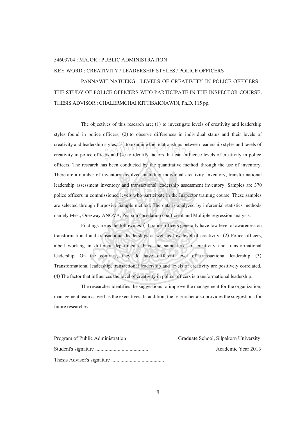## 54603704 : MAJOR : PUBLIC ADMINISTRATION

## KEY WORD : CREATIVITY / LEADERSHIP STYLES / POLICE OFFICERS

PANNAWIT NATUENG : LEVELS OF CREATIVITY IN POLICE OFFICERS : THE STUDY OF POLICE OFFICERS WHO PARTICIPATE IN THE INSPECTOR COURSE. THESIS ADVISOR : CHALERMCHAI KITTISAKNAWIN, Ph.D. 115 pp.

The objectives of this research are; (1) to investigate levels of creativity and leadership styles found in police officers; (2) to observe differences in individual status and their levels of creativity and leadership styles; (3) to examine the relationships between leadership styles and levels of creativity and leadership styles; (3) to examine the relationships between leadership styles and levels of creativity in police officers and (4) to identify factors that can influence levels of creativity in police officers. The research has been conducted by the quantitative method through the use of inventory. There are a number of inventory involved including individual creativity inventory, transformational leadership assessment inventory and transactional leadership assessment inventory. Samples are 370 police officers in commissioned levels who participate in the Inspector training course. These samples are selected through Purposive Sample method. The data is analyzed by inferential statistics methods namely t-test, One-way ANOVA, Pearson correlation coefficient and Multiple regression analysis.

Findings are as the followings: (1) police officers generally have low level of awareness on transformational and transactional leaderships as well as low level of creativity. (2) Police officers, albeit working in different departments, have the same level of creativity and transformational leadership. On the contrary, they do have different level of transactional leadership. (3) Transformational leadership, transactional leadership and levels of creativity are positively correlated. (4) The factor that influences the level of creativity in police officers is transformational leadership.

The researcher identifies the suggestions to improve the management for the organization, management team as well as the executives. In addition, the researcher also provides the suggestions for future researches.

| Program of Public Administration |
|----------------------------------|
|                                  |
|                                  |

Graduate School, Silpakorn University Academic Year 2013